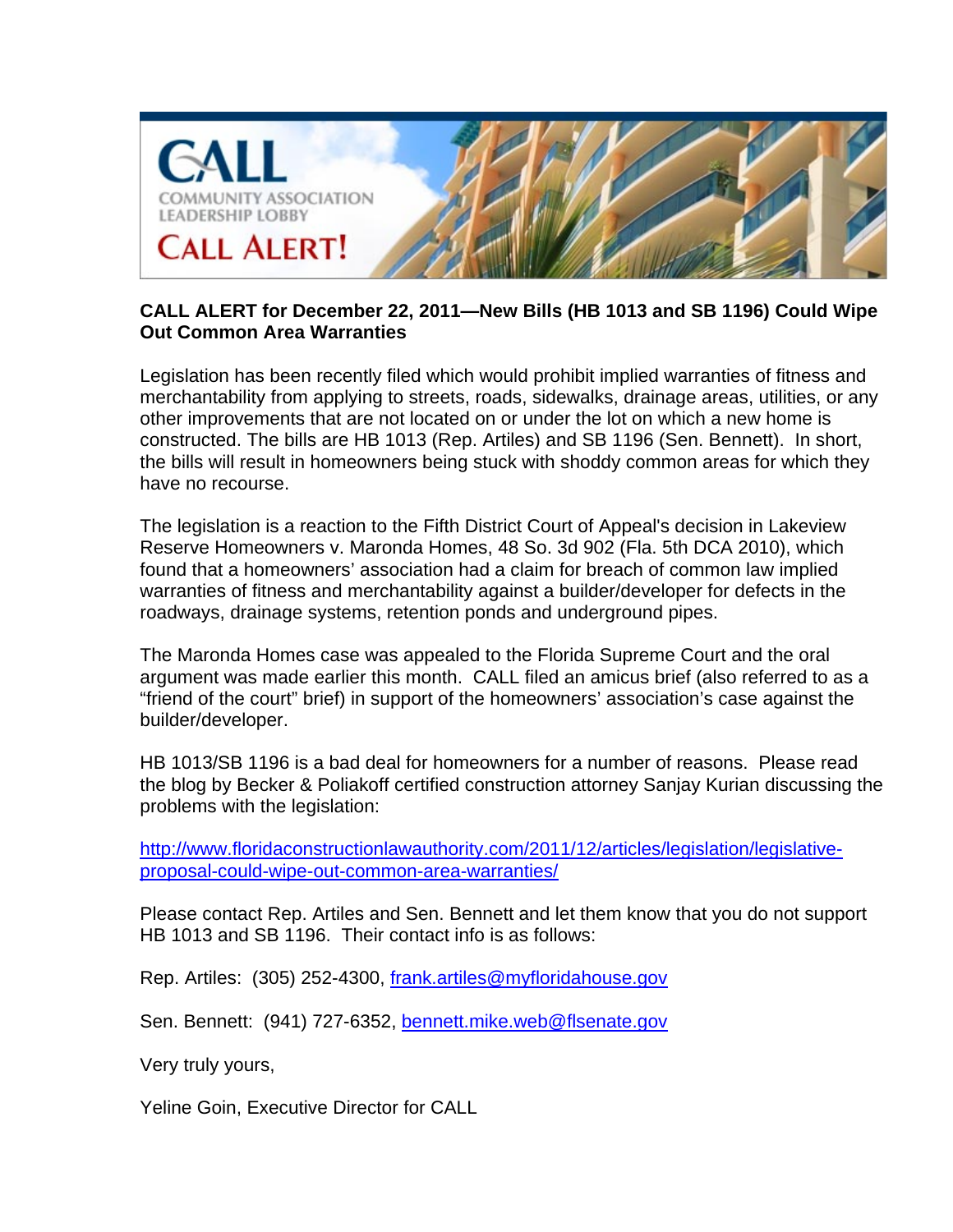

## **CALL ALERT for December 22, 2011—New Bills (HB 1013 and SB 1196) Could Wipe Out Common Area Warranties**

Legislation has been recently filed which would prohibit implied warranties of fitness and merchantability from applying to streets, roads, sidewalks, drainage areas, utilities, or any other improvements that are not located on or under the lot on which a new home is constructed. The bills are HB 1013 (Rep. Artiles) and SB 1196 (Sen. Bennett). In short, the bills will result in homeowners being stuck with shoddy common areas for which they have no recourse.

The legislation is a reaction to the Fifth District Court of Appeal's decision in Lakeview Reserve Homeowners v. Maronda Homes, 48 So. 3d 902 (Fla. 5th DCA 2010), which found that a homeowners' association had a claim for breach of common law implied warranties of fitness and merchantability against a builder/developer for defects in the roadways, drainage systems, retention ponds and underground pipes.

The Maronda Homes case was appealed to the Florida Supreme Court and the oral argument was made earlier this month. CALL filed an amicus brief (also referred to as a "friend of the court" brief) in support of the homeowners' association's case against the builder/developer.

HB 1013/SB 1196 is a bad deal for homeowners for a number of reasons. Please read the blog by Becker & Poliakoff certified construction attorney Sanjay Kurian discussing the problems with the legislation:

http://www.floridaconstructionlawauthority.com/2011/12/articles/legislation/legislativeproposal-could-wipe-out-common-area-warranties/

Please contact Rep. Artiles and Sen. Bennett and let them know that you do not support HB 1013 and SB 1196. Their contact info is as follows:

Rep. Artiles: (305) 252-4300, frank.artiles@myfloridahouse.gov

Sen. Bennett: (941) 727-6352, bennett.mike.web@flsenate.gov

Very truly yours,

Yeline Goin, Executive Director for CALL